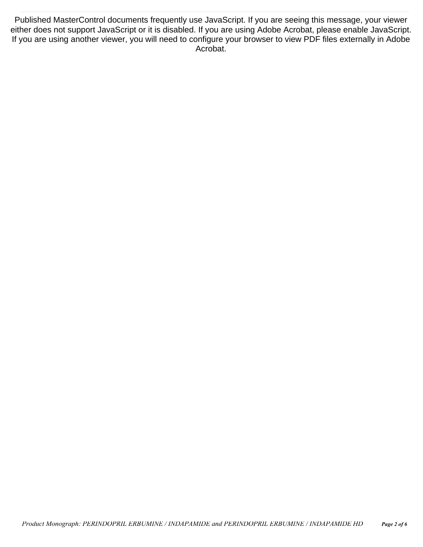Published MasterControl documents frequently use JavaScript. If you are seeing this message, your viewer PERINDOPRIL ERBUMINE / INDAPAMIDE: tablets of 4 mg are less than 18 years old, either does not support JavaScript or it is disabled. If you are using Adobe Acrobat, please enable JavaScript. If you are using another viewer, you will need to configure your browser to view PDF files externally in Adobe Acrobat.